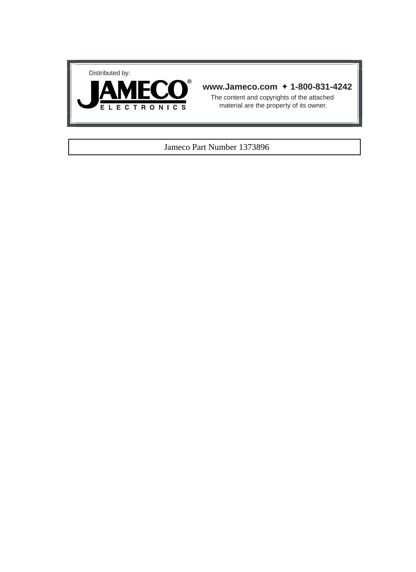



### **www.Jameco.com** ✦ **1-800-831-4242**

The content and copyrights of the attached material are the property of its owner.

#### Jameco Part Number 1373896